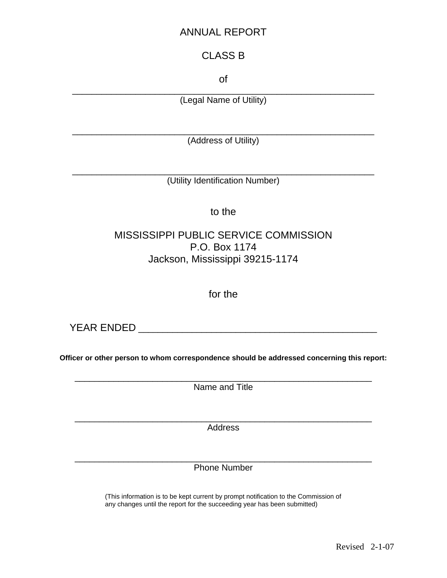## ANNUAL REPORT

## CLASS B

of

\_\_\_\_\_\_\_\_\_\_\_\_\_\_\_\_\_\_\_\_\_\_\_\_\_\_\_\_\_\_\_\_\_\_\_\_\_\_\_\_\_\_\_\_\_\_\_\_\_\_\_\_\_\_\_\_\_\_\_\_\_\_ (Legal Name of Utility)

\_\_\_\_\_\_\_\_\_\_\_\_\_\_\_\_\_\_\_\_\_\_\_\_\_\_\_\_\_\_\_\_\_\_\_\_\_\_\_\_\_\_\_\_\_\_\_\_\_\_\_\_\_\_\_\_\_\_\_\_\_\_ (Address of Utility)

\_\_\_\_\_\_\_\_\_\_\_\_\_\_\_\_\_\_\_\_\_\_\_\_\_\_\_\_\_\_\_\_\_\_\_\_\_\_\_\_\_\_\_\_\_\_\_\_\_\_\_\_\_\_\_\_\_\_\_\_\_\_ (Utility Identification Number)

to the

## MISSISSIPPI PUBLIC SERVICE COMMISSION P.O. Box 1174 Jackson, Mississippi 39215-1174

for the

YEAR ENDED **with a set of the set of the set of the set of the set of the set of the set of the set of the set of the set of the set of the set of the set of the set of the set of the set of the set of the set of the set o** 

**Officer or other person to whom correspondence should be addressed concerning this report:** 

\_\_\_\_\_\_\_\_\_\_\_\_\_\_\_\_\_\_\_\_\_\_\_\_\_\_\_\_\_\_\_\_\_\_\_\_\_\_\_\_\_\_\_\_\_\_\_\_\_\_\_\_\_\_\_\_\_\_\_\_\_ Name and Title

\_\_\_\_\_\_\_\_\_\_\_\_\_\_\_\_\_\_\_\_\_\_\_\_\_\_\_\_\_\_\_\_\_\_\_\_\_\_\_\_\_\_\_\_\_\_\_\_\_\_\_\_\_\_\_\_\_\_\_\_\_ Address

\_\_\_\_\_\_\_\_\_\_\_\_\_\_\_\_\_\_\_\_\_\_\_\_\_\_\_\_\_\_\_\_\_\_\_\_\_\_\_\_\_\_\_\_\_\_\_\_\_\_\_\_\_\_\_\_\_\_\_\_\_ Phone Number

(This information is to be kept current by prompt notification to the Commission of any changes until the report for the succeeding year has been submitted)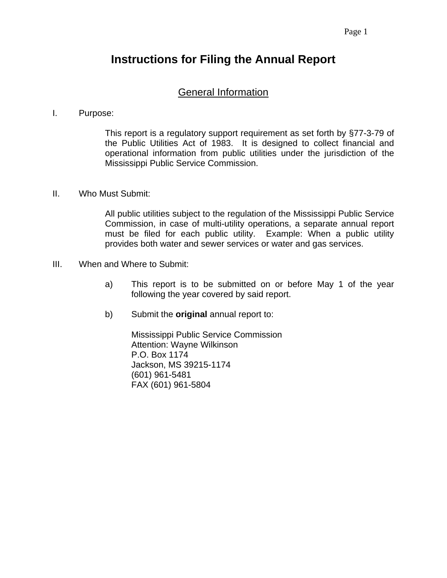# **Instructions for Filing the Annual Report**

### General Information

#### I. Purpose:

This report is a regulatory support requirement as set forth by §77-3-79 of the Public Utilities Act of 1983. It is designed to collect financial and operational information from public utilities under the jurisdiction of the Mississippi Public Service Commission.

#### II. Who Must Submit:

All public utilities subject to the regulation of the Mississippi Public Service Commission, in case of multi-utility operations, a separate annual report must be filed for each public utility. Example: When a public utility provides both water and sewer services or water and gas services.

- III. When and Where to Submit:
	- a) This report is to be submitted on or before May 1 of the year following the year covered by said report.
	- b) Submit the **original** annual report to:

Mississippi Public Service Commission Attention: Wayne Wilkinson P.O. Box 1174 Jackson, MS 39215-1174 (601) 961-5481 FAX (601) 961-5804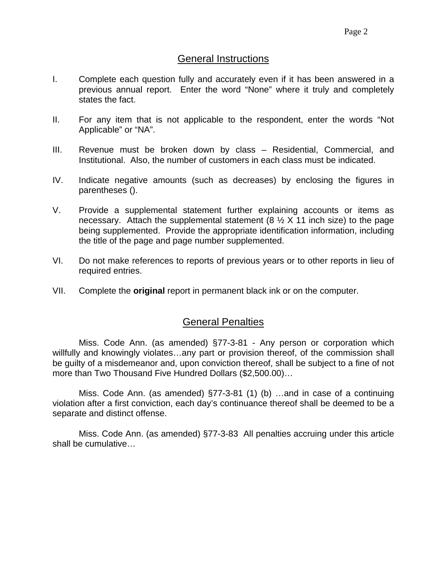#### General Instructions

- I. Complete each question fully and accurately even if it has been answered in a previous annual report. Enter the word "None" where it truly and completely states the fact.
- II. For any item that is not applicable to the respondent, enter the words "Not Applicable" or "NA".
- III. Revenue must be broken down by class Residential, Commercial, and Institutional. Also, the number of customers in each class must be indicated.
- IV. Indicate negative amounts (such as decreases) by enclosing the figures in parentheses ().
- V. Provide a supplemental statement further explaining accounts or items as necessary. Attach the supplemental statement  $(8 \frac{1}{2} \times 11)$  inch size) to the page being supplemented. Provide the appropriate identification information, including the title of the page and page number supplemented.
- VI. Do not make references to reports of previous years or to other reports in lieu of required entries.
- VII. Complete the **original** report in permanent black ink or on the computer.

### General Penalties

 Miss. Code Ann. (as amended) §77-3-81 - Any person or corporation which willfully and knowingly violates...any part or provision thereof, of the commission shall be guilty of a misdemeanor and, upon conviction thereof, shall be subject to a fine of not more than Two Thousand Five Hundred Dollars (\$2,500.00)…

 Miss. Code Ann. (as amended) §77-3-81 (1) (b) …and in case of a continuing violation after a first conviction, each day's continuance thereof shall be deemed to be a separate and distinct offense.

 Miss. Code Ann. (as amended) §77-3-83 All penalties accruing under this article shall be cumulative…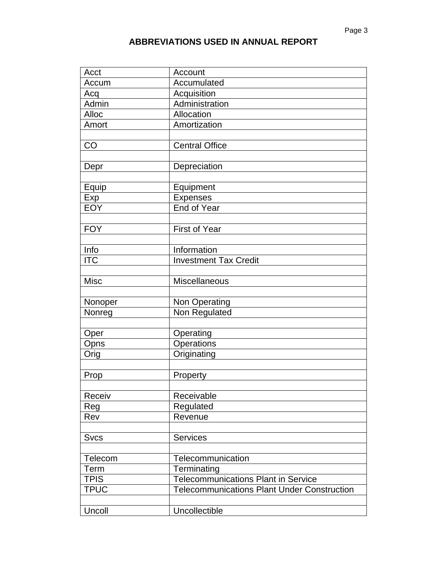| Acct        | Account                                            |
|-------------|----------------------------------------------------|
| Accum       | Accumulated                                        |
| Acq         | <b>Acquisition</b>                                 |
| Admin       | Administration                                     |
| Alloc       | Allocation                                         |
| Amort       | Amortization                                       |
|             |                                                    |
| CO          | <b>Central Office</b>                              |
|             |                                                    |
| Depr        | Depreciation                                       |
|             |                                                    |
| Equip       | Equipment                                          |
| Exp         | Expenses                                           |
| <b>EOY</b>  | End of Year                                        |
|             |                                                    |
| <b>FOY</b>  | <b>First of Year</b>                               |
|             |                                                    |
| Info        | Information                                        |
| <b>ITC</b>  | <b>Investment Tax Credit</b>                       |
|             |                                                    |
| <b>Misc</b> | Miscellaneous                                      |
|             |                                                    |
| Nonoper     | Non Operating                                      |
| Nonreg      | Non Regulated                                      |
|             |                                                    |
| Oper        | Operating                                          |
| Opns        | Operations<br>Originating                          |
| Orig        |                                                    |
| Prop        | Property                                           |
|             |                                                    |
| Receiv      | Receivable                                         |
| Reg         | Regulated                                          |
| Rev         | Revenue                                            |
|             |                                                    |
| <b>Svcs</b> | <b>Services</b>                                    |
|             |                                                    |
| Telecom     | Telecommunication                                  |
| Term        | Terminating                                        |
| <b>TPIS</b> | <b>Telecommunications Plant in Service</b>         |
| <b>TPUC</b> | <b>Telecommunications Plant Under Construction</b> |
|             |                                                    |
| Uncoll      | Uncollectible                                      |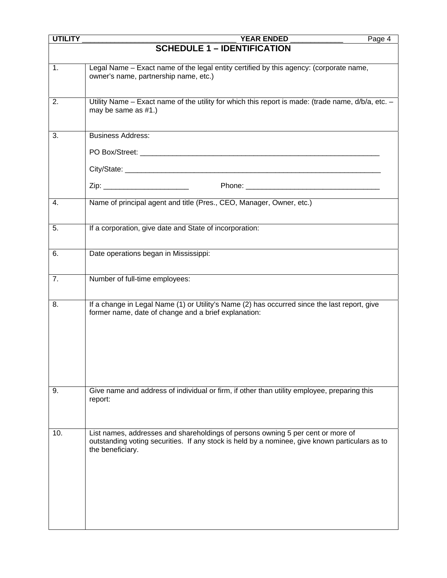| <b>UTILITY</b> | <b>YEAR ENDED</b><br>Page 4                                                                                                                                                                           |
|----------------|-------------------------------------------------------------------------------------------------------------------------------------------------------------------------------------------------------|
|                | <b>SCHEDULE 1 - IDENTIFICATION</b>                                                                                                                                                                    |
| 1.             | Legal Name - Exact name of the legal entity certified by this agency: (corporate name,<br>owner's name, partnership name, etc.)                                                                       |
| 2.             | Utility Name – Exact name of the utility for which this report is made: (trade name, d/b/a, etc. –<br>may be same as #1.)                                                                             |
| 3.             | <b>Business Address:</b>                                                                                                                                                                              |
|                |                                                                                                                                                                                                       |
|                |                                                                                                                                                                                                       |
| 4.             | Name of principal agent and title (Pres., CEO, Manager, Owner, etc.)                                                                                                                                  |
| 5.             | If a corporation, give date and State of incorporation:                                                                                                                                               |
| 6.             | Date operations began in Mississippi:                                                                                                                                                                 |
| 7.             | Number of full-time employees:                                                                                                                                                                        |
| 8.             | If a change in Legal Name (1) or Utility's Name (2) has occurred since the last report, give<br>former name, date of change and a brief explanation:                                                  |
| 9.             | Give name and address of individual or firm, if other than utility employee, preparing this<br>report:                                                                                                |
| 10.            | List names, addresses and shareholdings of persons owning 5 per cent or more of<br>outstanding voting securities. If any stock is held by a nominee, give known particulars as to<br>the beneficiary. |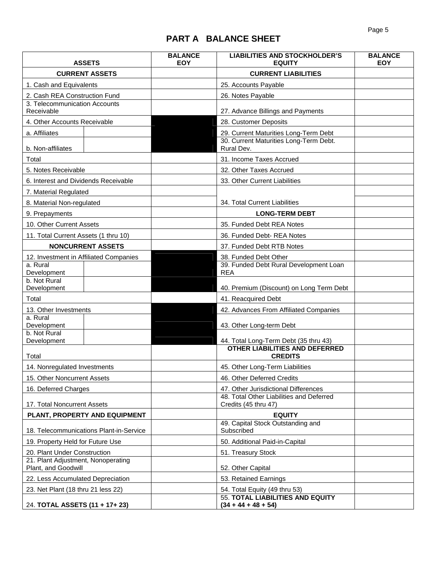# **PART A BALANCE SHEET**

| <b>ASSETS</b>                                             |                                         | <b>BALANCE</b><br><b>EOY</b> | <b>LIABILITIES AND STOCKHOLDER'S</b><br><b>EQUITY</b>                            | <b>BALANCE</b><br><b>EOY</b> |
|-----------------------------------------------------------|-----------------------------------------|------------------------------|----------------------------------------------------------------------------------|------------------------------|
| <b>CURRENT ASSETS</b>                                     |                                         |                              | <b>CURRENT LIABILITIES</b>                                                       |                              |
| 1. Cash and Equivalents                                   |                                         |                              | 25. Accounts Payable                                                             |                              |
| 2. Cash REA Construction Fund                             |                                         |                              | 26. Notes Payable                                                                |                              |
| 3. Telecommunication Accounts                             |                                         |                              |                                                                                  |                              |
| Receivable                                                |                                         |                              | 27. Advance Billings and Payments                                                |                              |
| 4. Other Accounts Receivable                              |                                         |                              | 28. Customer Deposits                                                            |                              |
| a. Affiliates                                             |                                         |                              | 29. Current Maturities Long-Term Debt                                            |                              |
| b. Non-affiliates                                         |                                         |                              | 30. Current Maturities Long-Term Debt.<br>Rural Dev.                             |                              |
| Total                                                     |                                         |                              | 31. Income Taxes Accrued                                                         |                              |
| 5. Notes Receivable                                       |                                         |                              | 32. Other Taxes Accrued                                                          |                              |
| 6. Interest and Dividends Receivable                      |                                         |                              | 33. Other Current Liabilities                                                    |                              |
| 7. Material Regulated                                     |                                         |                              |                                                                                  |                              |
| 8. Material Non-regulated                                 |                                         |                              | 34. Total Current Liabilities                                                    |                              |
| 9. Prepayments                                            |                                         |                              | <b>LONG-TERM DEBT</b>                                                            |                              |
| 10. Other Current Assets                                  |                                         |                              | 35. Funded Debt REA Notes                                                        |                              |
| 11. Total Current Assets (1 thru 10)                      |                                         |                              | 36. Funded Debt-REA Notes                                                        |                              |
|                                                           | <b>NONCURRENT ASSETS</b>                |                              | 37. Funded Debt RTB Notes                                                        |                              |
| 12. Investment in Affiliated Companies                    |                                         |                              | 38. Funded Debt Other                                                            |                              |
| a. Rural<br>Development                                   |                                         |                              | 39. Funded Debt Rural Development Loan<br><b>REA</b>                             |                              |
| b. Not Rural<br>Development                               |                                         |                              | 40. Premium (Discount) on Long Term Debt                                         |                              |
| Total                                                     |                                         |                              | 41. Reacquired Debt                                                              |                              |
| 13. Other Investments                                     |                                         |                              | 42. Advances From Affiliated Companies                                           |                              |
| a. Rural<br>Development                                   |                                         |                              | 43. Other Long-term Debt                                                         |                              |
| b. Not Rural<br>Development                               |                                         |                              | 44. Total Long-Term Debt (35 thru 43)                                            |                              |
|                                                           |                                         |                              | <b>OTHER LIABILITIES AND DEFERRED</b>                                            |                              |
| Total                                                     |                                         |                              | <b>CREDITS</b>                                                                   |                              |
| 14. Nonregulated Investments                              |                                         |                              | 45. Other Long-Term Liabilities                                                  |                              |
| 15. Other Noncurrent Assets                               |                                         |                              | 46. Other Deferred Credits                                                       |                              |
| 16. Deferred Charges                                      |                                         |                              | 47. Other Jurisdictional Differences<br>48. Total Other Liabilities and Deferred |                              |
| 17. Total Noncurrent Assets                               |                                         |                              | Credits (45 thru 47)                                                             |                              |
|                                                           | PLANT, PROPERTY AND EQUIPMENT           |                              | <b>EQUITY</b>                                                                    |                              |
|                                                           | 18. Telecommunications Plant-in-Service |                              | 49. Capital Stock Outstanding and<br>Subscribed                                  |                              |
| 19. Property Held for Future Use                          |                                         |                              | 50. Additional Paid-in-Capital                                                   |                              |
| 20. Plant Under Construction                              |                                         |                              | 51. Treasury Stock                                                               |                              |
| 21. Plant Adjustment, Nonoperating<br>Plant, and Goodwill |                                         |                              | 52. Other Capital                                                                |                              |
| 22. Less Accumulated Depreciation                         |                                         |                              | 53. Retained Earnings                                                            |                              |
| 23. Net Plant (18 thru 21 less 22)                        |                                         |                              | 54. Total Equity (49 thru 53)                                                    |                              |
| 24. TOTAL ASSETS (11 + 17+ 23)                            |                                         |                              | 55. TOTAL LIABILITIES AND EQUITY<br>$(34 + 44 + 48 + 54)$                        |                              |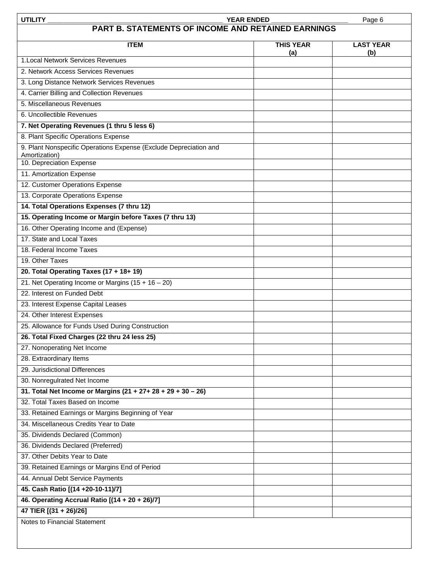| <b>UTILITY</b><br><b>YEAR ENDED</b><br>Page 6                                                                  |                         |                         |  |  |  |  |  |  |
|----------------------------------------------------------------------------------------------------------------|-------------------------|-------------------------|--|--|--|--|--|--|
| PART B. STATEMENTS OF INCOME AND RETAINED EARNINGS                                                             |                         |                         |  |  |  |  |  |  |
| <b>ITEM</b>                                                                                                    | <b>THIS YEAR</b><br>(a) | <b>LAST YEAR</b><br>(b) |  |  |  |  |  |  |
| 1. Local Network Services Revenues                                                                             |                         |                         |  |  |  |  |  |  |
| 2. Network Access Services Revenues                                                                            |                         |                         |  |  |  |  |  |  |
| 3. Long Distance Network Services Revenues                                                                     |                         |                         |  |  |  |  |  |  |
| 4. Carrier Billing and Collection Revenues                                                                     |                         |                         |  |  |  |  |  |  |
| 5. Miscellaneous Revenues                                                                                      |                         |                         |  |  |  |  |  |  |
| 6. Uncollectible Revenues                                                                                      |                         |                         |  |  |  |  |  |  |
| 7. Net Operating Revenues (1 thru 5 less 6)                                                                    |                         |                         |  |  |  |  |  |  |
| 8. Plant Specific Operations Expense                                                                           |                         |                         |  |  |  |  |  |  |
| 9. Plant Nonspecific Operations Expense (Exclude Depreciation and<br>Amortization)<br>10. Depreciation Expense |                         |                         |  |  |  |  |  |  |
| 11. Amortization Expense                                                                                       |                         |                         |  |  |  |  |  |  |
| 12. Customer Operations Expense                                                                                |                         |                         |  |  |  |  |  |  |
| 13. Corporate Operations Expense                                                                               |                         |                         |  |  |  |  |  |  |
| 14. Total Operations Expenses (7 thru 12)                                                                      |                         |                         |  |  |  |  |  |  |
| 15. Operating Income or Margin before Taxes (7 thru 13)                                                        |                         |                         |  |  |  |  |  |  |
| 16. Other Operating Income and (Expense)                                                                       |                         |                         |  |  |  |  |  |  |
| 17. State and Local Taxes                                                                                      |                         |                         |  |  |  |  |  |  |
| 18. Federal Income Taxes                                                                                       |                         |                         |  |  |  |  |  |  |
| 19. Other Taxes                                                                                                |                         |                         |  |  |  |  |  |  |
| 20. Total Operating Taxes (17 + 18+ 19)                                                                        |                         |                         |  |  |  |  |  |  |
| 21. Net Operating Income or Margins $(15 + 16 - 20)$                                                           |                         |                         |  |  |  |  |  |  |
| 22. Interest on Funded Debt                                                                                    |                         |                         |  |  |  |  |  |  |
| 23. Interest Expense Capital Leases                                                                            |                         |                         |  |  |  |  |  |  |
| 24. Other Interest Expenses                                                                                    |                         |                         |  |  |  |  |  |  |
| 25. Allowance for Funds Used During Construction                                                               |                         |                         |  |  |  |  |  |  |
| 26. Total Fixed Charges (22 thru 24 less 25)                                                                   |                         |                         |  |  |  |  |  |  |
| 27. Nonoperating Net Income                                                                                    |                         |                         |  |  |  |  |  |  |
| 28. Extraordinary Items                                                                                        |                         |                         |  |  |  |  |  |  |
| 29. Jurisdictional Differences                                                                                 |                         |                         |  |  |  |  |  |  |
| 30. Nonregulrated Net Income                                                                                   |                         |                         |  |  |  |  |  |  |
| 31. Total Net Income or Margins $(21 + 27 + 28 + 29 + 30 - 26)$                                                |                         |                         |  |  |  |  |  |  |
| 32. Total Taxes Based on Income                                                                                |                         |                         |  |  |  |  |  |  |
| 33. Retained Earnings or Margins Beginning of Year                                                             |                         |                         |  |  |  |  |  |  |
| 34. Miscellaneous Credits Year to Date                                                                         |                         |                         |  |  |  |  |  |  |
| 35. Dividends Declared (Common)                                                                                |                         |                         |  |  |  |  |  |  |
| 36. Dividends Declared (Preferred)                                                                             |                         |                         |  |  |  |  |  |  |
| 37. Other Debits Year to Date                                                                                  |                         |                         |  |  |  |  |  |  |
| 39. Retained Earnings or Margins End of Period                                                                 |                         |                         |  |  |  |  |  |  |
| 44. Annual Debt Service Payments                                                                               |                         |                         |  |  |  |  |  |  |
| 45. Cash Ratio [(14 +20-10-11)/7]                                                                              |                         |                         |  |  |  |  |  |  |
| 46. Operating Accrual Ratio [(14 + 20 + 26)/7]                                                                 |                         |                         |  |  |  |  |  |  |
| 47 TIER [(31 + 26)/26]                                                                                         |                         |                         |  |  |  |  |  |  |
| Notes to Financial Statement                                                                                   |                         |                         |  |  |  |  |  |  |
|                                                                                                                |                         |                         |  |  |  |  |  |  |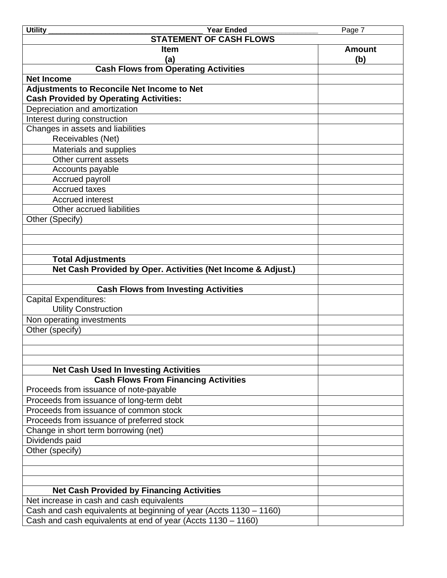| <b>Year Ended</b><br><b>Utility</b>                                | Page 7        |
|--------------------------------------------------------------------|---------------|
| <b>STATEMENT OF CASH FLOWS</b>                                     |               |
| <b>Item</b>                                                        | <b>Amount</b> |
| (a)                                                                | (b)           |
| <b>Cash Flows from Operating Activities</b>                        |               |
| <b>Net Income</b>                                                  |               |
| <b>Adjustments to Reconcile Net Income to Net</b>                  |               |
| <b>Cash Provided by Operating Activities:</b>                      |               |
| Depreciation and amortization                                      |               |
| Interest during construction                                       |               |
| Changes in assets and liabilities                                  |               |
| Receivables (Net)                                                  |               |
| Materials and supplies                                             |               |
| Other current assets                                               |               |
| Accounts payable                                                   |               |
| Accrued payroll                                                    |               |
| <b>Accrued taxes</b>                                               |               |
| <b>Accrued interest</b>                                            |               |
| Other accrued liabilities                                          |               |
| Other (Specify)                                                    |               |
|                                                                    |               |
|                                                                    |               |
| <b>Total Adjustments</b>                                           |               |
| Net Cash Provided by Oper. Activities (Net Income & Adjust.)       |               |
|                                                                    |               |
| <b>Cash Flows from Investing Activities</b>                        |               |
| <b>Capital Expenditures:</b>                                       |               |
| <b>Utility Construction</b>                                        |               |
| Non operating investments                                          |               |
| Other (specify)                                                    |               |
|                                                                    |               |
|                                                                    |               |
|                                                                    |               |
| <b>Net Cash Used In Investing Activities</b>                       |               |
| <b>Cash Flows From Financing Activities</b>                        |               |
| Proceeds from issuance of note-payable                             |               |
| Proceeds from issuance of long-term debt                           |               |
| Proceeds from issuance of common stock                             |               |
| Proceeds from issuance of preferred stock                          |               |
| Change in short term borrowing (net)                               |               |
| Dividends paid                                                     |               |
| Other (specify)                                                    |               |
|                                                                    |               |
|                                                                    |               |
|                                                                    |               |
| <b>Net Cash Provided by Financing Activities</b>                   |               |
| Net increase in cash and cash equivalents                          |               |
| Cash and cash equivalents at beginning of year (Accts 1130 – 1160) |               |
| Cash and cash equivalents at end of year (Accts 1130 – 1160)       |               |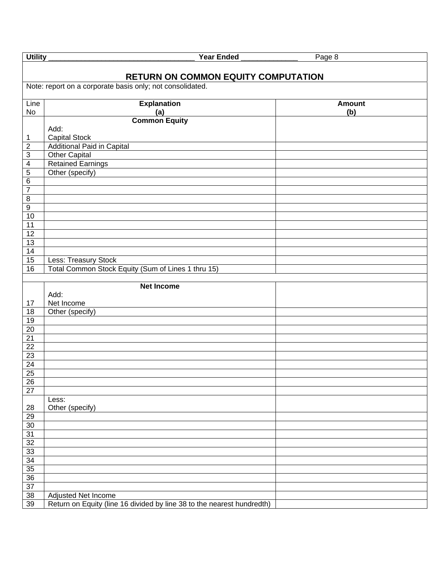| <b>Utility</b>  | <b>Year Ended</b>                                                          | Page 8               |
|-----------------|----------------------------------------------------------------------------|----------------------|
|                 | <b>RETURN ON COMMON EQUITY COMPUTATION</b>                                 |                      |
|                 | Note: report on a corporate basis only; not consolidated.                  |                      |
| Line<br>No      | <b>Explanation</b><br>(a)                                                  | <b>Amount</b><br>(b) |
|                 | <b>Common Equity</b>                                                       |                      |
|                 | Add:                                                                       |                      |
| 1               | <b>Capital Stock</b>                                                       |                      |
| $\overline{2}$  | <b>Additional Paid in Capital</b>                                          |                      |
| $\sqrt{3}$      | <b>Other Capital</b>                                                       |                      |
| 4               | <b>Retained Earnings</b>                                                   |                      |
| 5               | Other (specify)                                                            |                      |
| 6               |                                                                            |                      |
| 7               |                                                                            |                      |
| $\bf 8$         |                                                                            |                      |
| $\overline{9}$  |                                                                            |                      |
| 10              |                                                                            |                      |
| $\overline{11}$ |                                                                            |                      |
| $\overline{12}$ |                                                                            |                      |
| 13              |                                                                            |                      |
| 14              |                                                                            |                      |
| 15<br>16        | Less: Treasury Stock<br>Total Common Stock Equity (Sum of Lines 1 thru 15) |                      |
|                 |                                                                            |                      |
|                 | <b>Net Income</b>                                                          |                      |
|                 | Add:                                                                       |                      |
| 17              | Net Income                                                                 |                      |
| $\overline{18}$ | Other (specify)                                                            |                      |
| $\overline{19}$ |                                                                            |                      |
| 20              |                                                                            |                      |
| $\overline{21}$ |                                                                            |                      |
| $\overline{22}$ |                                                                            |                      |
| $\overline{23}$ |                                                                            |                      |
| $\overline{24}$ |                                                                            |                      |
| $\overline{25}$ |                                                                            |                      |
| $\overline{26}$ |                                                                            |                      |
| $\overline{27}$ |                                                                            |                      |
|                 | Less:<br>Other (specify)                                                   |                      |
| 28<br>29        |                                                                            |                      |
| 30              |                                                                            |                      |
| 31              |                                                                            |                      |
| 32              |                                                                            |                      |
| 33              |                                                                            |                      |
| 34              |                                                                            |                      |
| 35              |                                                                            |                      |
| 36              |                                                                            |                      |
| $\overline{37}$ |                                                                            |                      |
| 38              | Adjusted Net Income                                                        |                      |
| 39              | Return on Equity (line 16 divided by line 38 to the nearest hundredth)     |                      |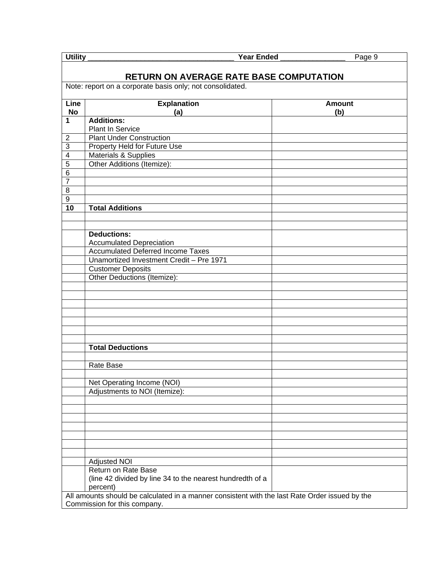| Utility<br><b>Year Ended</b><br>Page 9 |                                                                                                |               |  |  |
|----------------------------------------|------------------------------------------------------------------------------------------------|---------------|--|--|
|                                        |                                                                                                |               |  |  |
|                                        | RETURN ON AVERAGE RATE BASE COMPUTATION                                                        |               |  |  |
|                                        | Note: report on a corporate basis only; not consolidated.                                      |               |  |  |
| Line                                   | <b>Explanation</b>                                                                             | <b>Amount</b> |  |  |
| <b>No</b>                              | (a)                                                                                            | (b)           |  |  |
| $\mathbf{1}$                           | <b>Additions:</b>                                                                              |               |  |  |
|                                        | <b>Plant In Service</b>                                                                        |               |  |  |
| $\overline{2}$                         | <b>Plant Under Construction</b>                                                                |               |  |  |
| $\overline{3}$                         | Property Held for Future Use                                                                   |               |  |  |
| $\overline{4}$                         | Materials & Supplies<br>Other Additions (Itemize):                                             |               |  |  |
| $\overline{5}$<br>$\overline{6}$       |                                                                                                |               |  |  |
| $\overline{7}$                         |                                                                                                |               |  |  |
| $\overline{8}$                         |                                                                                                |               |  |  |
| $\overline{9}$                         |                                                                                                |               |  |  |
| 10                                     | <b>Total Additions</b>                                                                         |               |  |  |
|                                        |                                                                                                |               |  |  |
|                                        |                                                                                                |               |  |  |
|                                        | <b>Deductions:</b>                                                                             |               |  |  |
|                                        | <b>Accumulated Depreciation</b>                                                                |               |  |  |
|                                        | <b>Accumulated Deferred Income Taxes</b>                                                       |               |  |  |
|                                        | Unamortized Investment Credit - Pre 1971                                                       |               |  |  |
|                                        | <b>Customer Deposits</b>                                                                       |               |  |  |
|                                        | Other Deductions (Itemize):                                                                    |               |  |  |
|                                        |                                                                                                |               |  |  |
|                                        |                                                                                                |               |  |  |
|                                        |                                                                                                |               |  |  |
|                                        |                                                                                                |               |  |  |
|                                        |                                                                                                |               |  |  |
|                                        |                                                                                                |               |  |  |
|                                        | <b>Total Deductions</b>                                                                        |               |  |  |
|                                        |                                                                                                |               |  |  |
|                                        | Rate Base                                                                                      |               |  |  |
|                                        |                                                                                                |               |  |  |
|                                        | Net Operating Income (NOI)                                                                     |               |  |  |
|                                        | Adjustments to NOI (Itemize):                                                                  |               |  |  |
|                                        |                                                                                                |               |  |  |
|                                        |                                                                                                |               |  |  |
|                                        |                                                                                                |               |  |  |
|                                        |                                                                                                |               |  |  |
|                                        |                                                                                                |               |  |  |
|                                        |                                                                                                |               |  |  |
|                                        | <b>Adjusted NOI</b>                                                                            |               |  |  |
|                                        | Return on Rate Base                                                                            |               |  |  |
|                                        | (line 42 divided by line 34 to the nearest hundredth of a                                      |               |  |  |
|                                        | percent)                                                                                       |               |  |  |
|                                        | All amounts should be calculated in a manner consistent with the last Rate Order issued by the |               |  |  |
|                                        | Commission for this company.                                                                   |               |  |  |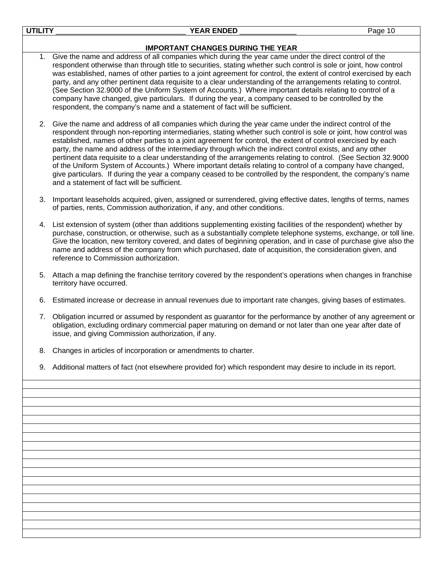| <b>UTILITY</b> | <b>YEAR ENDED</b><br>Page 10                                                                                                                                                                                                                                                                                                                                                                                                                                                                                                                                                                                                                                                                                                                                                                                                                               |
|----------------|------------------------------------------------------------------------------------------------------------------------------------------------------------------------------------------------------------------------------------------------------------------------------------------------------------------------------------------------------------------------------------------------------------------------------------------------------------------------------------------------------------------------------------------------------------------------------------------------------------------------------------------------------------------------------------------------------------------------------------------------------------------------------------------------------------------------------------------------------------|
|                | <b>IMPORTANT CHANGES DURING THE YEAR</b>                                                                                                                                                                                                                                                                                                                                                                                                                                                                                                                                                                                                                                                                                                                                                                                                                   |
| 1.             | Give the name and address of all companies which during the year came under the direct control of the<br>respondent otherwise than through title to securities, stating whether such control is sole or joint, how control<br>was established, names of other parties to a joint agreement for control, the extent of control exercised by each<br>party, and any other pertinent data requisite to a clear understanding of the arrangements relating to control.<br>(See Section 32.9000 of the Uniform System of Accounts.) Where important details relating to control of a<br>company have changed, give particulars. If during the year, a company ceased to be controlled by the<br>respondent, the company's name and a statement of fact will be sufficient.                                                                                      |
|                | 2. Give the name and address of all companies which during the year came under the indirect control of the<br>respondent through non-reporting intermediaries, stating whether such control is sole or joint, how control was<br>established, names of other parties to a joint agreement for control, the extent of control exercised by each<br>party, the name and address of the intermediary through which the indirect control exists, and any other<br>pertinent data requisite to a clear understanding of the arrangements relating to control. (See Section 32.9000<br>of the Uniform System of Accounts.) Where important details relating to control of a company have changed,<br>give particulars. If during the year a company ceased to be controlled by the respondent, the company's name<br>and a statement of fact will be sufficient. |
| 3.             | Important leaseholds acquired, given, assigned or surrendered, giving effective dates, lengths of terms, names<br>of parties, rents, Commission authorization, if any, and other conditions.                                                                                                                                                                                                                                                                                                                                                                                                                                                                                                                                                                                                                                                               |
| 4.             | List extension of system (other than additions supplementing existing facilities of the respondent) whether by<br>purchase, construction, or otherwise, such as a substantially complete telephone systems, exchange, or toll line.<br>Give the location, new territory covered, and dates of beginning operation, and in case of purchase give also the<br>name and address of the company from which purchased, date of acquisition, the consideration given, and<br>reference to Commission authorization.                                                                                                                                                                                                                                                                                                                                              |
| 5.             | Attach a map defining the franchise territory covered by the respondent's operations when changes in franchise<br>territory have occurred.                                                                                                                                                                                                                                                                                                                                                                                                                                                                                                                                                                                                                                                                                                                 |
| 6.             | Estimated increase or decrease in annual revenues due to important rate changes, giving bases of estimates.                                                                                                                                                                                                                                                                                                                                                                                                                                                                                                                                                                                                                                                                                                                                                |
|                | 7. Obligation incurred or assumed by respondent as guarantor for the performance by another of any agreement or<br>obligation, excluding ordinary commercial paper maturing on demand or not later than one year after date of<br>issue, and giving Commission authorization, if any.                                                                                                                                                                                                                                                                                                                                                                                                                                                                                                                                                                      |
|                | 8. Changes in articles of incorporation or amendments to charter.                                                                                                                                                                                                                                                                                                                                                                                                                                                                                                                                                                                                                                                                                                                                                                                          |
| 9.             | Additional matters of fact (not elsewhere provided for) which respondent may desire to include in its report.                                                                                                                                                                                                                                                                                                                                                                                                                                                                                                                                                                                                                                                                                                                                              |
|                |                                                                                                                                                                                                                                                                                                                                                                                                                                                                                                                                                                                                                                                                                                                                                                                                                                                            |
|                |                                                                                                                                                                                                                                                                                                                                                                                                                                                                                                                                                                                                                                                                                                                                                                                                                                                            |
|                |                                                                                                                                                                                                                                                                                                                                                                                                                                                                                                                                                                                                                                                                                                                                                                                                                                                            |
|                |                                                                                                                                                                                                                                                                                                                                                                                                                                                                                                                                                                                                                                                                                                                                                                                                                                                            |
|                |                                                                                                                                                                                                                                                                                                                                                                                                                                                                                                                                                                                                                                                                                                                                                                                                                                                            |
|                |                                                                                                                                                                                                                                                                                                                                                                                                                                                                                                                                                                                                                                                                                                                                                                                                                                                            |
|                |                                                                                                                                                                                                                                                                                                                                                                                                                                                                                                                                                                                                                                                                                                                                                                                                                                                            |
|                |                                                                                                                                                                                                                                                                                                                                                                                                                                                                                                                                                                                                                                                                                                                                                                                                                                                            |
|                |                                                                                                                                                                                                                                                                                                                                                                                                                                                                                                                                                                                                                                                                                                                                                                                                                                                            |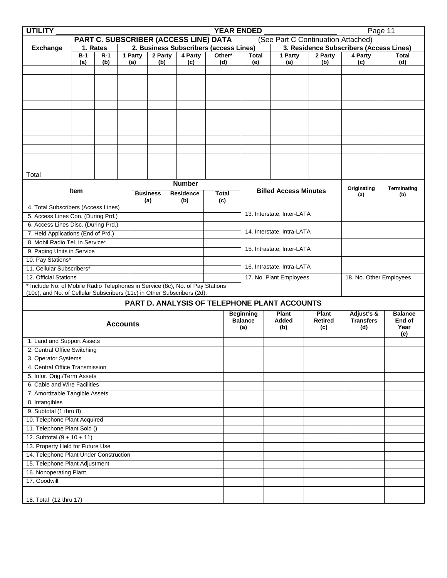| <b>UTILITY</b>                                                                |                                        |       |                 |                 |         |  |                                       |                                         |        | <b>YEAR ENDED</b>          |  |                                              |                                    | Page 11                 |                    |  |
|-------------------------------------------------------------------------------|----------------------------------------|-------|-----------------|-----------------|---------|--|---------------------------------------|-----------------------------------------|--------|----------------------------|--|----------------------------------------------|------------------------------------|-------------------------|--------------------|--|
|                                                                               |                                        |       |                 |                 |         |  | PART C. SUBSCRIBER (ACCESS LINE) DATA |                                         |        |                            |  |                                              | (See Part C Continuation Attached) |                         |                    |  |
| <b>Exchange</b>                                                               | 2. Business Subscribers (access Lines) |       |                 |                 |         |  |                                       | 3. Residence Subscribers (Access Lines) |        |                            |  |                                              |                                    |                         |                    |  |
|                                                                               | $B-1$                                  | $R-1$ |                 | 1 Party         | 2 Party |  | 4 Party                               |                                         | Other* | <b>Total</b>               |  | 1 Party                                      | 2 Party                            | 4 Party                 | <b>Total</b>       |  |
|                                                                               | (a)                                    | (b)   |                 | (a)             | (b)     |  | (c)                                   |                                         | (d)    | (e)                        |  | (a)                                          | (b)                                | (c)                     | (d)                |  |
|                                                                               |                                        |       |                 |                 |         |  |                                       |                                         |        |                            |  |                                              |                                    |                         |                    |  |
|                                                                               |                                        |       |                 |                 |         |  |                                       |                                         |        |                            |  |                                              |                                    |                         |                    |  |
|                                                                               |                                        |       |                 |                 |         |  |                                       |                                         |        |                            |  |                                              |                                    |                         |                    |  |
|                                                                               |                                        |       |                 |                 |         |  |                                       |                                         |        |                            |  |                                              |                                    |                         |                    |  |
|                                                                               |                                        |       |                 |                 |         |  |                                       |                                         |        |                            |  |                                              |                                    |                         |                    |  |
|                                                                               |                                        |       |                 |                 |         |  |                                       |                                         |        |                            |  |                                              |                                    |                         |                    |  |
|                                                                               |                                        |       |                 |                 |         |  |                                       |                                         |        |                            |  |                                              |                                    |                         |                    |  |
|                                                                               |                                        |       |                 |                 |         |  |                                       |                                         |        |                            |  |                                              |                                    |                         |                    |  |
|                                                                               |                                        |       |                 |                 |         |  |                                       |                                         |        |                            |  |                                              |                                    |                         |                    |  |
|                                                                               |                                        |       |                 |                 |         |  |                                       |                                         |        |                            |  |                                              |                                    |                         |                    |  |
|                                                                               |                                        |       |                 |                 |         |  |                                       |                                         |        |                            |  |                                              |                                    |                         |                    |  |
| Total                                                                         |                                        |       |                 |                 |         |  |                                       |                                         |        |                            |  |                                              |                                    |                         |                    |  |
|                                                                               |                                        |       |                 |                 |         |  | <b>Number</b>                         |                                         |        |                            |  |                                              |                                    |                         |                    |  |
|                                                                               | <b>Item</b>                            |       |                 | <b>Business</b> |         |  | <b>Residence</b>                      | <b>Total</b>                            |        |                            |  | <b>Billed Access Minutes</b>                 |                                    | Originating<br>(a)      | Terminating<br>(b) |  |
|                                                                               |                                        |       |                 | (a)             |         |  | (b)                                   | (c)                                     |        |                            |  |                                              |                                    |                         |                    |  |
| 4. Total Subscribers (Access Lines)                                           |                                        |       |                 |                 |         |  |                                       |                                         |        |                            |  | 13. Interstate, Inter-LATA                   |                                    |                         |                    |  |
| 5. Access Lines Con. (During Prd.)                                            |                                        |       |                 |                 |         |  |                                       |                                         |        |                            |  |                                              |                                    |                         |                    |  |
| 6. Access Lines Disc. (During Prd.)<br>7. Held Applications (End of Prd.)     |                                        |       |                 |                 |         |  |                                       |                                         |        |                            |  | 14. Interstate, Intra-LATA                   |                                    |                         |                    |  |
| 8. Mobil Radio Tel. in Service*                                               |                                        |       |                 |                 |         |  |                                       |                                         |        |                            |  |                                              |                                    |                         |                    |  |
| 9. Paging Units in Service                                                    |                                        |       |                 |                 |         |  |                                       |                                         |        | 15. Intrastate, Inter-LATA |  |                                              |                                    |                         |                    |  |
| 10. Pay Stations*                                                             |                                        |       |                 |                 |         |  |                                       |                                         |        |                            |  |                                              |                                    |                         |                    |  |
| 11. Cellular Subscribers*                                                     |                                        |       |                 |                 |         |  |                                       |                                         |        | 16. Intrastate, Intra-LATA |  |                                              |                                    |                         |                    |  |
| 12. Official Stations                                                         |                                        |       |                 |                 |         |  |                                       |                                         |        | 17. No. Plant Employees    |  |                                              |                                    | 18. No. Other Employees |                    |  |
| * Include No. of Mobile Radio Telephones in Service (8c), No. of Pay Stations |                                        |       |                 |                 |         |  |                                       |                                         |        |                            |  |                                              |                                    |                         |                    |  |
| (10c), and No. of Cellular Subscribers (11c) in Other Subscribers (2d).       |                                        |       |                 |                 |         |  |                                       |                                         |        |                            |  |                                              |                                    |                         |                    |  |
|                                                                               |                                        |       |                 |                 |         |  |                                       |                                         |        |                            |  | PART D. ANALYSIS OF TELEPHONE PLANT ACCOUNTS |                                    |                         |                    |  |
|                                                                               |                                        |       |                 |                 |         |  |                                       |                                         |        | <b>Beginning</b>           |  | <b>Plant</b>                                 | Plant                              | Adjust's &              | <b>Balance</b>     |  |
|                                                                               |                                        |       | <b>Accounts</b> |                 |         |  |                                       |                                         |        | <b>Balance</b>             |  | Added                                        | Retired                            | <b>Transfers</b>        | End of             |  |
|                                                                               |                                        |       |                 |                 |         |  |                                       |                                         |        | (a)                        |  | (b)                                          | (c)                                | (d)                     | Year               |  |
| 1. Land and Support Assets                                                    |                                        |       |                 |                 |         |  |                                       |                                         |        |                            |  |                                              |                                    |                         | (e)                |  |
| 2. Central Office Switching                                                   |                                        |       |                 |                 |         |  |                                       |                                         |        |                            |  |                                              |                                    |                         |                    |  |
| 3. Operator Systems                                                           |                                        |       |                 |                 |         |  |                                       |                                         |        |                            |  |                                              |                                    |                         |                    |  |
| 4. Central Office Transmission                                                |                                        |       |                 |                 |         |  |                                       |                                         |        |                            |  |                                              |                                    |                         |                    |  |
| 5. Infor. Orig./Term Assets                                                   |                                        |       |                 |                 |         |  |                                       |                                         |        |                            |  |                                              |                                    |                         |                    |  |
| 6. Cable and Wire Facilities                                                  |                                        |       |                 |                 |         |  |                                       |                                         |        |                            |  |                                              |                                    |                         |                    |  |
| 7. Amortizable Tangible Assets                                                |                                        |       |                 |                 |         |  |                                       |                                         |        |                            |  |                                              |                                    |                         |                    |  |
| 8. Intangibles                                                                |                                        |       |                 |                 |         |  |                                       |                                         |        |                            |  |                                              |                                    |                         |                    |  |
| 9. Subtotal (1 thru 8)                                                        |                                        |       |                 |                 |         |  |                                       |                                         |        |                            |  |                                              |                                    |                         |                    |  |
| 10. Telephone Plant Acquired                                                  |                                        |       |                 |                 |         |  |                                       |                                         |        |                            |  |                                              |                                    |                         |                    |  |
| 11. Telephone Plant Sold ()                                                   |                                        |       |                 |                 |         |  |                                       |                                         |        |                            |  |                                              |                                    |                         |                    |  |
| 12. Subtotal $(9 + 10 + 11)$                                                  |                                        |       |                 |                 |         |  |                                       |                                         |        |                            |  |                                              |                                    |                         |                    |  |
| 13. Property Held for Future Use                                              |                                        |       |                 |                 |         |  |                                       |                                         |        |                            |  |                                              |                                    |                         |                    |  |
|                                                                               | 14. Telephone Plant Under Construction |       |                 |                 |         |  |                                       |                                         |        |                            |  |                                              |                                    |                         |                    |  |
| 15. Telephone Plant Adjustment                                                |                                        |       |                 |                 |         |  |                                       |                                         |        |                            |  |                                              |                                    |                         |                    |  |
| 16. Nonoperating Plant                                                        |                                        |       |                 |                 |         |  |                                       |                                         |        |                            |  |                                              |                                    |                         |                    |  |
| 17. Goodwill                                                                  |                                        |       |                 |                 |         |  |                                       |                                         |        |                            |  |                                              |                                    |                         |                    |  |
|                                                                               |                                        |       |                 |                 |         |  |                                       |                                         |        |                            |  |                                              |                                    |                         |                    |  |
| 18. Total (12 thru 17)                                                        |                                        |       |                 |                 |         |  |                                       |                                         |        |                            |  |                                              |                                    |                         |                    |  |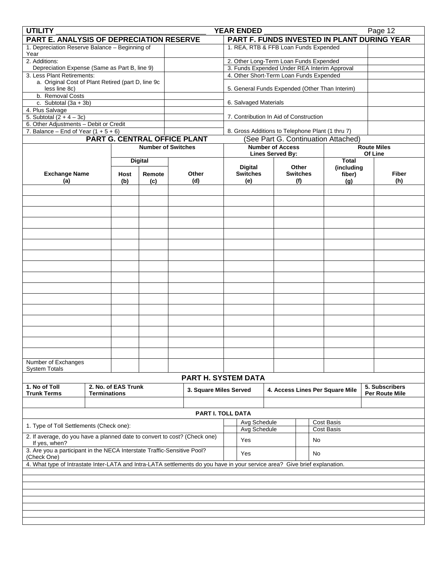| <b>UTILITY</b><br><b>YEAR ENDED</b>                                       |                                                                                                                            |                     |                              |  |                        |  |                                                                                        |  | Page 12                  |  |    |                                                |  |                                             |
|---------------------------------------------------------------------------|----------------------------------------------------------------------------------------------------------------------------|---------------------|------------------------------|--|------------------------|--|----------------------------------------------------------------------------------------|--|--------------------------|--|----|------------------------------------------------|--|---------------------------------------------|
| PART E. ANALYSIS OF DEPRECIATION RESERVE                                  |                                                                                                                            |                     |                              |  |                        |  |                                                                                        |  |                          |  |    |                                                |  | PART F. FUNDS INVESTED IN PLANT DURING YEAR |
| 1. Depreciation Reserve Balance - Beginning of                            |                                                                                                                            |                     |                              |  |                        |  | 1. REA, RTB & FFB Loan Funds Expended                                                  |  |                          |  |    |                                                |  |                                             |
| Year                                                                      |                                                                                                                            |                     |                              |  |                        |  |                                                                                        |  |                          |  |    |                                                |  |                                             |
| 2. Additions:                                                             |                                                                                                                            |                     |                              |  |                        |  | 2. Other Long-Term Loan Funds Expended<br>3. Funds Expended Under REA Interim Approval |  |                          |  |    |                                                |  |                                             |
| Depreciation Expense (Same as Part B, line 9)                             |                                                                                                                            |                     |                              |  |                        |  |                                                                                        |  |                          |  |    |                                                |  |                                             |
| 3. Less Plant Retirements:                                                |                                                                                                                            |                     |                              |  |                        |  | 4. Other Short-Term Loan Funds Expended                                                |  |                          |  |    |                                                |  |                                             |
| a. Original Cost of Plant Retired (part D, line 9c<br>less line 8c)       |                                                                                                                            |                     |                              |  |                        |  |                                                                                        |  |                          |  |    | 5. General Funds Expended (Other Than Interim) |  |                                             |
| b. Removal Costs                                                          |                                                                                                                            |                     |                              |  |                        |  |                                                                                        |  |                          |  |    |                                                |  |                                             |
| c. Subtotal $(3a + 3b)$                                                   |                                                                                                                            |                     |                              |  |                        |  | 6. Salvaged Materials                                                                  |  |                          |  |    |                                                |  |                                             |
| 4. Plus Salvage                                                           |                                                                                                                            |                     |                              |  |                        |  |                                                                                        |  |                          |  |    |                                                |  |                                             |
| 5. Subtotal $(2 + 4 - 3c)$                                                |                                                                                                                            |                     |                              |  |                        |  | 7. Contribution In Aid of Construction                                                 |  |                          |  |    |                                                |  |                                             |
| 6. Other Adjustments - Debit or Credit                                    |                                                                                                                            |                     |                              |  |                        |  |                                                                                        |  |                          |  |    |                                                |  |                                             |
| 7. Balance – End of Year $(1 + 5 + 6)$                                    |                                                                                                                            |                     |                              |  |                        |  | 8. Gross Additions to Telephone Plant (1 thru 7)                                       |  |                          |  |    |                                                |  |                                             |
|                                                                           |                                                                                                                            |                     | PART G. CENTRAL OFFICE PLANT |  |                        |  |                                                                                        |  |                          |  |    | (See Part G. Continuation Attached)            |  |                                             |
|                                                                           |                                                                                                                            |                     | <b>Number of Switches</b>    |  |                        |  |                                                                                        |  | <b>Number of Access</b>  |  |    |                                                |  | <b>Route Miles</b>                          |
|                                                                           |                                                                                                                            |                     |                              |  |                        |  |                                                                                        |  | <b>Lines Served By:</b>  |  |    |                                                |  | Of Line                                     |
|                                                                           |                                                                                                                            |                     | <b>Digital</b>               |  |                        |  |                                                                                        |  |                          |  |    | <b>Total</b>                                   |  |                                             |
| <b>Exchange Name</b>                                                      |                                                                                                                            | Host                | Remote                       |  | Other                  |  | <b>Digital</b><br><b>Switches</b>                                                      |  | Other<br><b>Switches</b> |  |    | (including                                     |  | <b>Fiber</b>                                |
| (a)                                                                       |                                                                                                                            | (b)                 | (c)                          |  | (d)                    |  | (e)                                                                                    |  | (f)                      |  |    | fiber)<br>(g)                                  |  | (h)                                         |
|                                                                           |                                                                                                                            |                     |                              |  |                        |  |                                                                                        |  |                          |  |    |                                                |  |                                             |
|                                                                           |                                                                                                                            |                     |                              |  |                        |  |                                                                                        |  |                          |  |    |                                                |  |                                             |
|                                                                           |                                                                                                                            |                     |                              |  |                        |  |                                                                                        |  |                          |  |    |                                                |  |                                             |
|                                                                           |                                                                                                                            |                     |                              |  |                        |  |                                                                                        |  |                          |  |    |                                                |  |                                             |
|                                                                           |                                                                                                                            |                     |                              |  |                        |  |                                                                                        |  |                          |  |    |                                                |  |                                             |
|                                                                           |                                                                                                                            |                     |                              |  |                        |  |                                                                                        |  |                          |  |    |                                                |  |                                             |
|                                                                           |                                                                                                                            |                     |                              |  |                        |  |                                                                                        |  |                          |  |    |                                                |  |                                             |
|                                                                           |                                                                                                                            |                     |                              |  |                        |  |                                                                                        |  |                          |  |    |                                                |  |                                             |
|                                                                           |                                                                                                                            |                     |                              |  |                        |  |                                                                                        |  |                          |  |    |                                                |  |                                             |
|                                                                           |                                                                                                                            |                     |                              |  |                        |  |                                                                                        |  |                          |  |    |                                                |  |                                             |
|                                                                           |                                                                                                                            |                     |                              |  |                        |  |                                                                                        |  |                          |  |    |                                                |  |                                             |
|                                                                           |                                                                                                                            |                     |                              |  |                        |  |                                                                                        |  |                          |  |    |                                                |  |                                             |
|                                                                           |                                                                                                                            |                     |                              |  |                        |  |                                                                                        |  |                          |  |    |                                                |  |                                             |
|                                                                           |                                                                                                                            |                     |                              |  |                        |  |                                                                                        |  |                          |  |    |                                                |  |                                             |
|                                                                           |                                                                                                                            |                     |                              |  |                        |  |                                                                                        |  |                          |  |    |                                                |  |                                             |
|                                                                           |                                                                                                                            |                     |                              |  |                        |  |                                                                                        |  |                          |  |    |                                                |  |                                             |
|                                                                           |                                                                                                                            |                     |                              |  |                        |  |                                                                                        |  |                          |  |    |                                                |  |                                             |
|                                                                           |                                                                                                                            |                     |                              |  |                        |  |                                                                                        |  |                          |  |    |                                                |  |                                             |
|                                                                           |                                                                                                                            |                     |                              |  |                        |  |                                                                                        |  |                          |  |    |                                                |  |                                             |
|                                                                           |                                                                                                                            |                     |                              |  |                        |  |                                                                                        |  |                          |  |    |                                                |  |                                             |
|                                                                           |                                                                                                                            |                     |                              |  |                        |  |                                                                                        |  |                          |  |    |                                                |  |                                             |
|                                                                           |                                                                                                                            |                     |                              |  |                        |  |                                                                                        |  |                          |  |    |                                                |  |                                             |
|                                                                           |                                                                                                                            |                     |                              |  |                        |  |                                                                                        |  |                          |  |    |                                                |  |                                             |
| Number of Exchanges                                                       |                                                                                                                            |                     |                              |  |                        |  |                                                                                        |  |                          |  |    |                                                |  |                                             |
| <b>System Totals</b>                                                      |                                                                                                                            |                     |                              |  |                        |  |                                                                                        |  |                          |  |    |                                                |  |                                             |
|                                                                           |                                                                                                                            |                     |                              |  | PART H. SYSTEM DATA    |  |                                                                                        |  |                          |  |    |                                                |  |                                             |
| 1. No of Toll                                                             |                                                                                                                            | 2. No. of EAS Trunk |                              |  | 3. Square Miles Served |  |                                                                                        |  |                          |  |    | 4. Access Lines Per Square Mile                |  | 5. Subscribers                              |
| <b>Trunk Terms</b>                                                        | <b>Terminations</b>                                                                                                        |                     |                              |  |                        |  |                                                                                        |  |                          |  |    |                                                |  | <b>Per Route Mile</b>                       |
|                                                                           |                                                                                                                            |                     |                              |  |                        |  |                                                                                        |  |                          |  |    |                                                |  |                                             |
|                                                                           |                                                                                                                            |                     |                              |  | PART I. TOLL DATA      |  |                                                                                        |  |                          |  |    |                                                |  |                                             |
|                                                                           |                                                                                                                            |                     |                              |  |                        |  | Avg Schedule                                                                           |  |                          |  |    | Cost Basis                                     |  |                                             |
| 1. Type of Toll Settlements (Check one):                                  |                                                                                                                            |                     |                              |  |                        |  | Avg Schedule                                                                           |  |                          |  |    | Cost Basis                                     |  |                                             |
| 2. If average, do you have a planned date to convert to cost? (Check one) |                                                                                                                            |                     |                              |  |                        |  |                                                                                        |  |                          |  |    |                                                |  |                                             |
| If yes, when?                                                             |                                                                                                                            |                     |                              |  |                        |  | Yes                                                                                    |  |                          |  | No |                                                |  |                                             |
| 3. Are you a participant in the NECA Interstate Traffic-Sensitive Pool?   |                                                                                                                            |                     |                              |  |                        |  | Yes                                                                                    |  |                          |  | No |                                                |  |                                             |
| (Check One)                                                               |                                                                                                                            |                     |                              |  |                        |  |                                                                                        |  |                          |  |    |                                                |  |                                             |
|                                                                           | 4. What type of Intrastate Inter-LATA and Intra-LATA settlements do you have in your service area? Give brief explanation. |                     |                              |  |                        |  |                                                                                        |  |                          |  |    |                                                |  |                                             |
|                                                                           |                                                                                                                            |                     |                              |  |                        |  |                                                                                        |  |                          |  |    |                                                |  |                                             |
|                                                                           |                                                                                                                            |                     |                              |  |                        |  |                                                                                        |  |                          |  |    |                                                |  |                                             |
|                                                                           |                                                                                                                            |                     |                              |  |                        |  |                                                                                        |  |                          |  |    |                                                |  |                                             |
|                                                                           |                                                                                                                            |                     |                              |  |                        |  |                                                                                        |  |                          |  |    |                                                |  |                                             |
|                                                                           |                                                                                                                            |                     |                              |  |                        |  |                                                                                        |  |                          |  |    |                                                |  |                                             |
|                                                                           |                                                                                                                            |                     |                              |  |                        |  |                                                                                        |  |                          |  |    |                                                |  |                                             |
|                                                                           |                                                                                                                            |                     |                              |  |                        |  |                                                                                        |  |                          |  |    |                                                |  |                                             |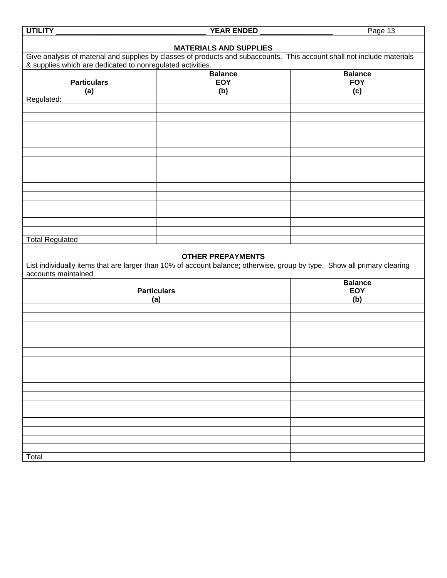| <b>UTILITY</b>                                                                                                           | <b>YEAR ENDED</b>             | Page 13        |
|--------------------------------------------------------------------------------------------------------------------------|-------------------------------|----------------|
|                                                                                                                          | <b>MATERIALS AND SUPPLIES</b> |                |
| Give analysis of material and supplies by classes of products and subaccounts. This account shall not include materials  |                               |                |
| & supplies which are dedicated to nonregulated activities.                                                               | <b>Balance</b>                | <b>Balance</b> |
| <b>Particulars</b>                                                                                                       | <b>EOY</b>                    | <b>FOY</b>     |
| (a)                                                                                                                      | (b)                           | (c)            |
| Regulated:                                                                                                               |                               |                |
|                                                                                                                          |                               |                |
|                                                                                                                          |                               |                |
|                                                                                                                          |                               |                |
|                                                                                                                          |                               |                |
|                                                                                                                          |                               |                |
|                                                                                                                          |                               |                |
|                                                                                                                          |                               |                |
|                                                                                                                          |                               |                |
|                                                                                                                          |                               |                |
|                                                                                                                          |                               |                |
|                                                                                                                          |                               |                |
|                                                                                                                          |                               |                |
| <b>Total Regulated</b>                                                                                                   |                               |                |
|                                                                                                                          |                               |                |
|                                                                                                                          | <b>OTHER PREPAYMENTS</b>      |                |
| List individually items that are larger than 10% of account balance; otherwise, group by type. Show all primary clearing |                               |                |
| accounts maintained.                                                                                                     |                               | <b>Balance</b> |
| <b>Particulars</b>                                                                                                       |                               | <b>EOY</b>     |
| (a)                                                                                                                      |                               | (b)            |
|                                                                                                                          |                               |                |
|                                                                                                                          |                               |                |
|                                                                                                                          |                               |                |
|                                                                                                                          |                               |                |
|                                                                                                                          |                               |                |
|                                                                                                                          |                               |                |
|                                                                                                                          |                               |                |
|                                                                                                                          |                               |                |
|                                                                                                                          |                               |                |
|                                                                                                                          |                               |                |
|                                                                                                                          |                               |                |
|                                                                                                                          |                               |                |
|                                                                                                                          |                               |                |
|                                                                                                                          |                               |                |
| Total                                                                                                                    |                               |                |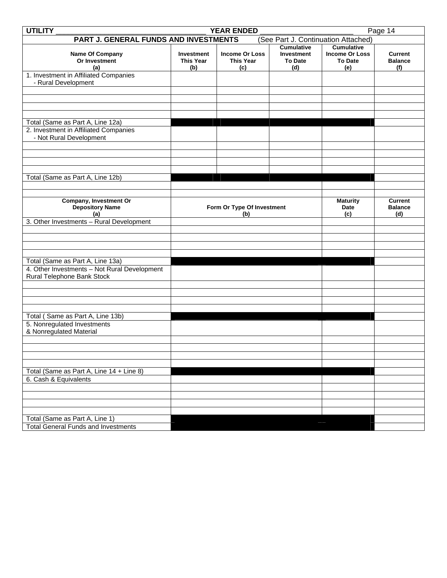| <b>UTILITY</b><br><b>YEAR ENDED</b><br>Page 14                             |                                              |                                                  |                                                                 |                                                                     |                                         |  |  |  |  |
|----------------------------------------------------------------------------|----------------------------------------------|--------------------------------------------------|-----------------------------------------------------------------|---------------------------------------------------------------------|-----------------------------------------|--|--|--|--|
| PART J. GENERAL FUNDS AND INVESTMENTS                                      |                                              |                                                  |                                                                 | (See Part J. Continuation Attached)                                 |                                         |  |  |  |  |
| Name Of Company<br>Or Investment<br>(a)                                    | <b>Investment</b><br><b>This Year</b><br>(b) | <b>Income Or Loss</b><br><b>This Year</b><br>(c) | <b>Cumulative</b><br><b>Investment</b><br><b>To Date</b><br>(d) | <b>Cumulative</b><br><b>Income Or Loss</b><br><b>To Date</b><br>(e) | <b>Current</b><br><b>Balance</b><br>(f) |  |  |  |  |
| 1. Investment in Affiliated Companies<br>- Rural Development               |                                              |                                                  |                                                                 |                                                                     |                                         |  |  |  |  |
|                                                                            |                                              |                                                  |                                                                 |                                                                     |                                         |  |  |  |  |
|                                                                            |                                              |                                                  |                                                                 |                                                                     |                                         |  |  |  |  |
| Total (Same as Part A, Line 12a)                                           |                                              |                                                  |                                                                 |                                                                     |                                         |  |  |  |  |
| 2. Investment in Affiliated Companies<br>- Not Rural Development           |                                              |                                                  |                                                                 |                                                                     |                                         |  |  |  |  |
|                                                                            |                                              |                                                  |                                                                 |                                                                     |                                         |  |  |  |  |
|                                                                            |                                              |                                                  |                                                                 |                                                                     |                                         |  |  |  |  |
| Total (Same as Part A, Line 12b)                                           |                                              |                                                  |                                                                 |                                                                     |                                         |  |  |  |  |
|                                                                            |                                              |                                                  |                                                                 |                                                                     |                                         |  |  |  |  |
| Company, Investment Or<br><b>Depository Name</b><br>(a)                    |                                              | Form Or Type Of Investment<br>(b)                | <b>Maturity</b><br>Date<br>(c)                                  | <b>Current</b><br><b>Balance</b><br>(d)                             |                                         |  |  |  |  |
| 3. Other Investments - Rural Development                                   |                                              |                                                  |                                                                 |                                                                     |                                         |  |  |  |  |
|                                                                            |                                              |                                                  |                                                                 |                                                                     |                                         |  |  |  |  |
|                                                                            |                                              |                                                  |                                                                 |                                                                     |                                         |  |  |  |  |
| Total (Same as Part A, Line 13a)                                           |                                              |                                                  |                                                                 |                                                                     |                                         |  |  |  |  |
| 4. Other Investments - Not Rural Development<br>Rural Telephone Bank Stock |                                              |                                                  |                                                                 |                                                                     |                                         |  |  |  |  |
|                                                                            |                                              |                                                  |                                                                 |                                                                     |                                         |  |  |  |  |
|                                                                            |                                              |                                                  |                                                                 |                                                                     |                                         |  |  |  |  |
| Total (Same as Part A, Line 13b)                                           |                                              |                                                  |                                                                 |                                                                     |                                         |  |  |  |  |
| 5. Nonregulated Investments<br>& Nonregulated Material                     |                                              |                                                  |                                                                 |                                                                     |                                         |  |  |  |  |
|                                                                            |                                              |                                                  |                                                                 |                                                                     |                                         |  |  |  |  |
|                                                                            |                                              |                                                  |                                                                 |                                                                     |                                         |  |  |  |  |
|                                                                            |                                              |                                                  |                                                                 |                                                                     |                                         |  |  |  |  |
| Total (Same as Part A, Line 14 + Line 8)<br>6. Cash & Equivalents          |                                              |                                                  |                                                                 |                                                                     |                                         |  |  |  |  |
|                                                                            |                                              |                                                  |                                                                 |                                                                     |                                         |  |  |  |  |
|                                                                            |                                              |                                                  |                                                                 |                                                                     |                                         |  |  |  |  |
|                                                                            |                                              |                                                  |                                                                 |                                                                     |                                         |  |  |  |  |
| Total (Same as Part A, Line 1)                                             |                                              |                                                  |                                                                 |                                                                     |                                         |  |  |  |  |
| <b>Total General Funds and Investments</b>                                 |                                              |                                                  |                                                                 |                                                                     |                                         |  |  |  |  |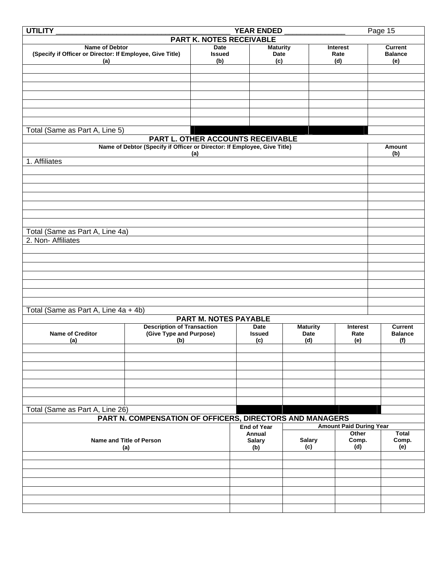| <b>UTILITY</b>                                                                     | <b>YEAR ENDED</b><br>Page 15                             |                              |                         |                 |                                |                                  |  |
|------------------------------------------------------------------------------------|----------------------------------------------------------|------------------------------|-------------------------|-----------------|--------------------------------|----------------------------------|--|
| <b>PART K. NOTES RECEIVABLE</b>                                                    |                                                          |                              |                         |                 |                                |                                  |  |
| <b>Name of Debtor</b><br>(Specify if Officer or Director: If Employee, Give Title) |                                                          | <b>Date</b><br><b>Issued</b> | <b>Maturity</b><br>Date |                 | Interest<br>Rate               | <b>Current</b><br><b>Balance</b> |  |
| (a)                                                                                |                                                          | (b)                          | (c)                     |                 | (d)                            | (e)                              |  |
|                                                                                    |                                                          |                              |                         |                 |                                |                                  |  |
|                                                                                    |                                                          |                              |                         |                 |                                |                                  |  |
|                                                                                    |                                                          |                              |                         |                 |                                |                                  |  |
|                                                                                    |                                                          |                              |                         |                 |                                |                                  |  |
|                                                                                    |                                                          |                              |                         |                 |                                |                                  |  |
|                                                                                    |                                                          |                              |                         |                 |                                |                                  |  |
| Total (Same as Part A, Line 5)                                                     |                                                          |                              |                         |                 |                                |                                  |  |
| PART L. OTHER ACCOUNTS RECEIVABLE                                                  |                                                          |                              |                         |                 |                                |                                  |  |
| Name of Debtor (Specify if Officer or Director: If Employee, Give Title)<br>(a)    |                                                          |                              |                         |                 | Amount<br>(b)                  |                                  |  |
| 1. Affiliates                                                                      |                                                          |                              |                         |                 |                                |                                  |  |
|                                                                                    |                                                          |                              |                         |                 |                                |                                  |  |
|                                                                                    |                                                          |                              |                         |                 |                                |                                  |  |
|                                                                                    |                                                          |                              |                         |                 |                                |                                  |  |
|                                                                                    |                                                          |                              |                         |                 |                                |                                  |  |
|                                                                                    |                                                          |                              |                         |                 |                                |                                  |  |
|                                                                                    |                                                          |                              |                         |                 |                                |                                  |  |
|                                                                                    |                                                          |                              |                         |                 |                                |                                  |  |
| Total (Same as Part A, Line 4a)                                                    |                                                          |                              |                         |                 |                                |                                  |  |
| 2. Non-Affiliates                                                                  |                                                          |                              |                         |                 |                                |                                  |  |
|                                                                                    |                                                          |                              |                         |                 |                                |                                  |  |
|                                                                                    |                                                          |                              |                         |                 |                                |                                  |  |
|                                                                                    |                                                          |                              |                         |                 |                                |                                  |  |
|                                                                                    |                                                          |                              |                         |                 |                                |                                  |  |
|                                                                                    |                                                          |                              |                         |                 |                                |                                  |  |
|                                                                                    |                                                          |                              |                         |                 |                                |                                  |  |
| Total (Same as Part A, Line 4a + 4b)                                               |                                                          |                              |                         |                 |                                |                                  |  |
|                                                                                    |                                                          | <b>PART M. NOTES PAYABLE</b> |                         |                 |                                |                                  |  |
|                                                                                    | <b>Description of Transaction</b>                        |                              | <b>Date</b>             | <b>Maturity</b> | <b>Interest</b>                | <b>Current</b>                   |  |
| <b>Name of Creditor</b><br>(a)                                                     | (Give Type and Purpose)<br>(b)                           |                              | <b>Issued</b><br>(c)    | Date<br>(d)     | Rate<br>(e)                    | <b>Balance</b><br>(f)            |  |
|                                                                                    |                                                          |                              |                         |                 |                                |                                  |  |
|                                                                                    |                                                          |                              |                         |                 |                                |                                  |  |
|                                                                                    |                                                          |                              |                         |                 |                                |                                  |  |
|                                                                                    |                                                          |                              |                         |                 |                                |                                  |  |
|                                                                                    |                                                          |                              |                         |                 |                                |                                  |  |
|                                                                                    |                                                          |                              |                         |                 |                                |                                  |  |
| Total (Same as Part A, Line 26)                                                    |                                                          |                              |                         |                 |                                |                                  |  |
|                                                                                    | PART N. COMPENSATION OF OFFICERS, DIRECTORS AND MANAGERS |                              |                         |                 |                                |                                  |  |
|                                                                                    |                                                          |                              | <b>End of Year</b>      |                 | <b>Amount Paid During Year</b> |                                  |  |
|                                                                                    |                                                          |                              | Annual                  |                 | Other                          | <b>Total</b>                     |  |
| Name and Title of Person                                                           |                                                          | <b>Salary</b>                | <b>Salary</b>           | Comp.           | Comp.                          |                                  |  |
|                                                                                    | (a)                                                      |                              | (b)                     | (c)             | (d)                            | (e)                              |  |
|                                                                                    |                                                          |                              |                         |                 |                                |                                  |  |
|                                                                                    |                                                          |                              |                         |                 |                                |                                  |  |
|                                                                                    |                                                          |                              |                         |                 |                                |                                  |  |
|                                                                                    |                                                          |                              |                         |                 |                                |                                  |  |
|                                                                                    |                                                          |                              |                         |                 |                                |                                  |  |
|                                                                                    |                                                          |                              |                         |                 |                                |                                  |  |
|                                                                                    |                                                          |                              |                         |                 |                                |                                  |  |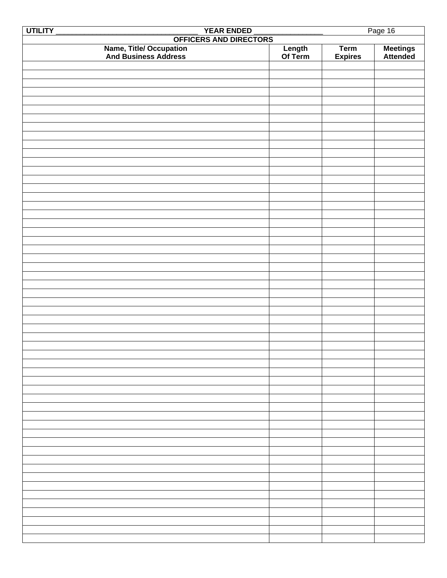| UTILITY                                                 |                   |                | Page 16              |
|---------------------------------------------------------|-------------------|----------------|----------------------|
| YEAR ENDED<br>OFFICERS AND DIRECTORS                    |                   |                |                      |
|                                                         |                   | <b>Term</b>    |                      |
| <b>Name, Title/ Occupation<br/>And Business Address</b> | Length<br>Of Term | <b>Expires</b> | Meetings<br>Attended |
|                                                         |                   |                |                      |
|                                                         |                   |                |                      |
|                                                         |                   |                |                      |
|                                                         |                   |                |                      |
|                                                         |                   |                |                      |
|                                                         |                   |                |                      |
|                                                         |                   |                |                      |
|                                                         |                   |                |                      |
|                                                         |                   |                |                      |
|                                                         |                   |                |                      |
|                                                         |                   |                |                      |
|                                                         |                   |                |                      |
|                                                         |                   |                |                      |
|                                                         |                   |                |                      |
|                                                         |                   |                |                      |
|                                                         |                   |                |                      |
|                                                         |                   |                |                      |
|                                                         |                   |                |                      |
|                                                         |                   |                |                      |
|                                                         |                   |                |                      |
|                                                         |                   |                |                      |
|                                                         |                   |                |                      |
|                                                         |                   |                |                      |
|                                                         |                   |                |                      |
|                                                         |                   |                |                      |
|                                                         |                   |                |                      |
|                                                         |                   |                |                      |
|                                                         |                   |                |                      |
|                                                         |                   |                |                      |
|                                                         |                   |                |                      |
|                                                         |                   |                |                      |
|                                                         |                   |                |                      |
|                                                         |                   |                |                      |
|                                                         |                   |                |                      |
|                                                         |                   |                |                      |
|                                                         |                   |                |                      |
|                                                         |                   |                |                      |
|                                                         |                   |                |                      |
|                                                         |                   |                |                      |
|                                                         |                   |                |                      |
|                                                         |                   |                |                      |
|                                                         |                   |                |                      |
|                                                         |                   |                |                      |
|                                                         |                   |                |                      |
|                                                         |                   |                |                      |
|                                                         |                   |                |                      |
|                                                         |                   |                |                      |
|                                                         |                   |                |                      |
|                                                         |                   |                |                      |
|                                                         |                   |                |                      |
|                                                         |                   |                |                      |
|                                                         |                   |                |                      |
|                                                         |                   |                |                      |
|                                                         |                   |                |                      |
|                                                         |                   |                |                      |
|                                                         |                   |                |                      |
|                                                         |                   |                |                      |
|                                                         |                   |                |                      |
|                                                         |                   |                |                      |
|                                                         |                   |                |                      |
|                                                         |                   |                |                      |
|                                                         |                   |                |                      |
|                                                         |                   |                |                      |
|                                                         |                   |                |                      |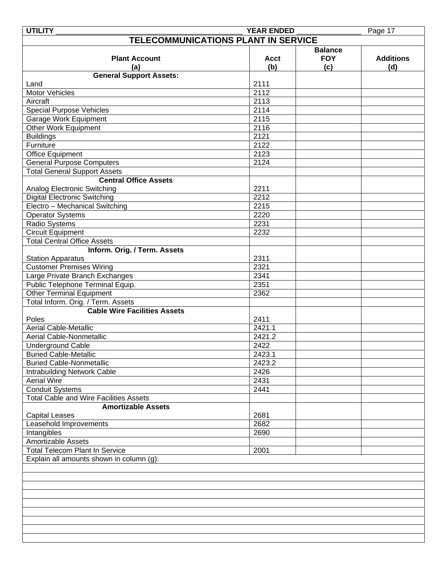| <b>UTILITY</b>                                | <b>YEAR ENDED</b> |                | Page 17          |
|-----------------------------------------------|-------------------|----------------|------------------|
| TELECOMMUNICATIONS PLANT IN SERVICE           |                   |                |                  |
|                                               |                   | <b>Balance</b> |                  |
| <b>Plant Account</b>                          | <b>Acct</b>       | <b>FOY</b>     | <b>Additions</b> |
| (a)                                           | (b)               | (c)            | (d)              |
|                                               |                   |                |                  |
| <b>General Support Assets:</b>                |                   |                |                  |
| Land                                          | 2111              |                |                  |
| <b>Motor Vehicles</b>                         | 2112              |                |                  |
| Aircraft                                      | 2113              |                |                  |
| Special Purpose Vehicles                      | 2114              |                |                  |
| Garage Work Equipment                         | 2115              |                |                  |
| Other Work Equipment                          | 2116              |                |                  |
| <b>Buildings</b>                              | 2121              |                |                  |
| Furniture                                     | 2122              |                |                  |
| Office Equipment                              | 2123              |                |                  |
| <b>General Purpose Computers</b>              | 2124              |                |                  |
| <b>Total General Support Assets</b>           |                   |                |                  |
| <b>Central Office Assets</b>                  |                   |                |                  |
| Analog Electronic Switching                   | 2211              |                |                  |
| <b>Digital Electronic Switching</b>           | 2212              |                |                  |
| Electro - Mechanical Switching                | 2215              |                |                  |
| <b>Operator Systems</b>                       | 2220              |                |                  |
| Radio Systems                                 | 2231              |                |                  |
|                                               |                   |                |                  |
| <b>Circuit Equipment</b>                      | 2232              |                |                  |
| <b>Total Central Office Assets</b>            |                   |                |                  |
| Inform. Orig. / Term. Assets                  |                   |                |                  |
| <b>Station Apparatus</b>                      | 2311              |                |                  |
| <b>Customer Premises Wiring</b>               | 2321              |                |                  |
| Large Private Branch Exchanges                | 2341              |                |                  |
| Public Telephone Terminal Equip.              | 2351              |                |                  |
| Other Terminal Equipment                      | 2362              |                |                  |
| Total Inform. Orig. / Term. Assets            |                   |                |                  |
| <b>Cable Wire Facilities Assets</b>           |                   |                |                  |
| Poles                                         | 2411              |                |                  |
| <b>Aerial Cable-Metallic</b>                  | 2421.1            |                |                  |
| Aerial Cable-Nonmetallic                      | 2421.2            |                |                  |
| <b>Underground Cable</b>                      | 2422              |                |                  |
| <b>Buried Cable-Metallic</b>                  | 2423.1            |                |                  |
| <b>Buried Cable-Nonmetallic</b>               | 2423.2            |                |                  |
| <b>Intrabuilding Network Cable</b>            | 2426              |                |                  |
|                                               |                   |                |                  |
| <b>Aerial Wire</b>                            | 2431              |                |                  |
| <b>Conduit Systems</b>                        | 2441              |                |                  |
| <b>Total Cable and Wire Facilities Assets</b> |                   |                |                  |
| <b>Amortizable Assets</b>                     |                   |                |                  |
| <b>Capital Leases</b>                         | 2681              |                |                  |
| Leasehold Improvements                        | 2682              |                |                  |
| Intangibles                                   | 2690              |                |                  |
| Amortizable Assets                            |                   |                |                  |
| <b>Total Telecom Plant In Service</b>         | 2001              |                |                  |
| Explain all amounts shown in column (g):      |                   |                |                  |
|                                               |                   |                |                  |
|                                               |                   |                |                  |
|                                               |                   |                |                  |
|                                               |                   |                |                  |
|                                               |                   |                |                  |
|                                               |                   |                |                  |
|                                               |                   |                |                  |
|                                               |                   |                |                  |
|                                               |                   |                |                  |
|                                               |                   |                |                  |